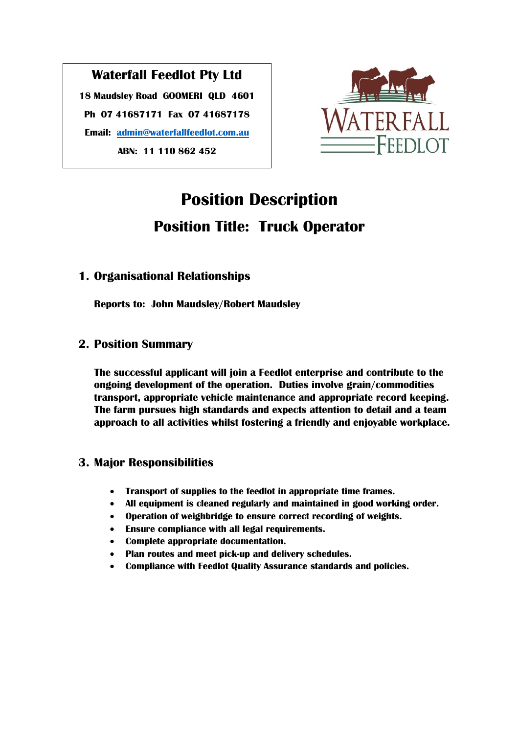## **Waterfall Feedlot Pty Ltd**

**18 Maudsley Road GOOMERI QLD 4601 Ph 07 41687171 Fax 07 41687178 Email: [admin@waterfallfeedlot.com.au](mailto:admin@waterfallfeedlot.com.au) ABN: 11 110 862 452**



# **Position Description Position Title: Truck Operator**

## **1. Organisational Relationships**

**Reports to: John Maudsley/Robert Maudsley**

## **2. Position Summary**

**The successful applicant will join a Feedlot enterprise and contribute to the ongoing development of the operation. Duties involve grain/commodities transport, appropriate vehicle maintenance and appropriate record keeping. The farm pursues high standards and expects attention to detail and a team approach to all activities whilst fostering a friendly and enjoyable workplace.**

## **3. Major Responsibilities**

- **Transport of supplies to the feedlot in appropriate time frames.**
- **All equipment is cleaned regularly and maintained in good working order.**
- **Operation of weighbridge to ensure correct recording of weights.**
- **Ensure compliance with all legal requirements.**
- **Complete appropriate documentation.**
- **Plan routes and meet pick-up and delivery schedules.**
- **Compliance with Feedlot Quality Assurance standards and policies.**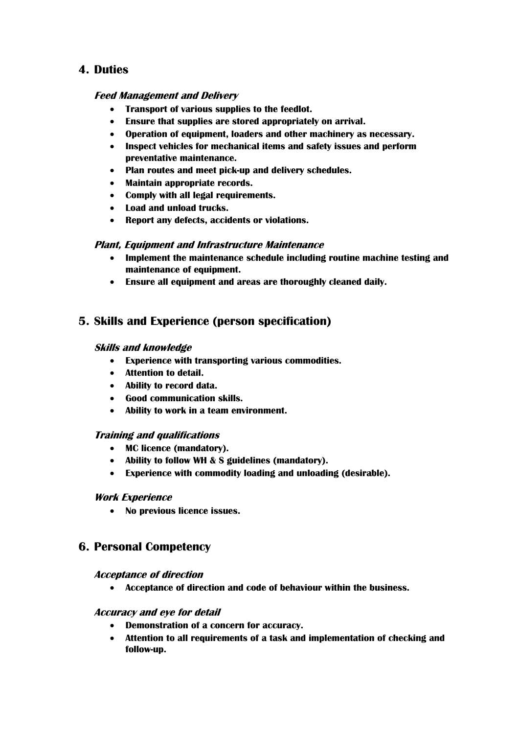### **4. Duties**

#### **Feed Management and Delivery**

- **Transport of various supplies to the feedlot.**
- **Ensure that supplies are stored appropriately on arrival.**
- **Operation of equipment, loaders and other machinery as necessary.**
- **Inspect vehicles for mechanical items and safety issues and perform preventative maintenance.**
- **Plan routes and meet pick-up and delivery schedules.**
- **Maintain appropriate records.**
- **Comply with all legal requirements.**
- **Load and unload trucks.**
- **Report any defects, accidents or violations.**

#### **Plant, Equipment and Infrastructure Maintenance**

- **Implement the maintenance schedule including routine machine testing and maintenance of equipment.**
- **Ensure all equipment and areas are thoroughly cleaned daily.**

## **5. Skills and Experience (person specification)**

#### **Skills and knowledge**

- **Experience with transporting various commodities.**
- **Attention to detail.**
- **Ability to record data.**
- **Good communication skills.**
- **Ability to work in a team environment.**

#### **Training and qualifications**

- **MC licence (mandatory).**
- **Ability to follow WH & S guidelines (mandatory).**
- **Experience with commodity loading and unloading (desirable).**

#### **Work Experience**

**No previous licence issues.**

## **6. Personal Competency**

#### **Acceptance of direction**

**Acceptance of direction and code of behaviour within the business.**

#### **Accuracy and eye for detail**

- **Demonstration of a concern for accuracy.**
- **Attention to all requirements of a task and implementation of checking and follow-up.**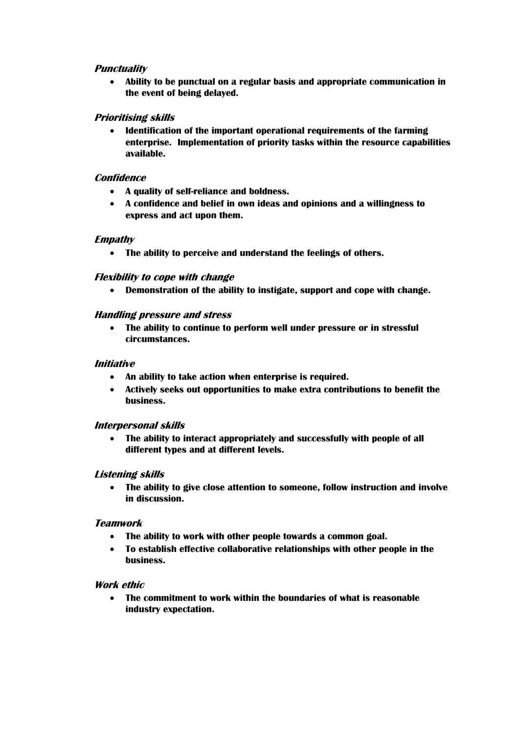#### **Punctuality**

 **Ability to be punctual on a regular basis and appropriate communication in the event of being delayed.**

#### **Prioritising skills**

 **Identification of the important operational requirements of the farming enterprise. Implementation of priority tasks within the resource capabilities available.**

#### **Confidence**

- **A quality of self-reliance and boldness.**
- **A confidence and belief in own ideas and opinions and a willingness to express and act upon them.**

#### **Empathy**

**The ability to perceive and understand the feelings of others.**

#### **Flexibility to cope with change**

**Demonstration of the ability to instigate, support and cope with change.**

#### **Handling pressure and stress**

 **The ability to continue to perform well under pressure or in stressful circumstances.**

#### **Initiative**

- **An ability to take action when enterprise is required.**
- **Actively seeks out opportunities to make extra contributions to benefit the business.**

#### **Interpersonal skills**

 **The ability to interact appropriately and successfully with people of all different types and at different levels.**

#### **Listening skills**

 **The ability to give close attention to someone, follow instruction and involve in discussion.**

#### **Teamwork**

- **The ability to work with other people towards a common goal.**
- **To establish effective collaborative relationships with other people in the business.**

#### **Work ethic**

 **The commitment to work within the boundaries of what is reasonable industry expectation.**